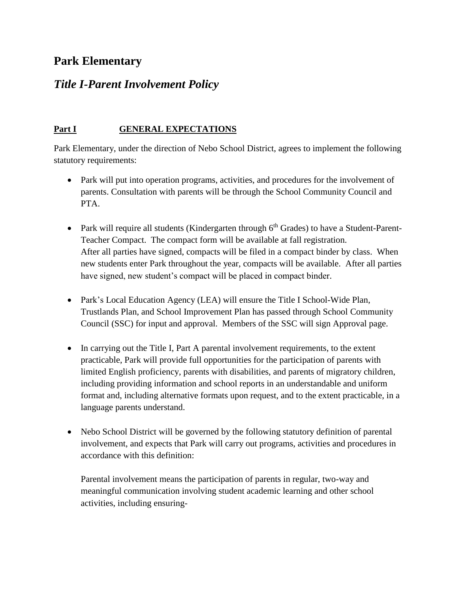# **Park Elementary**

## *Title I-Parent Involvement Policy*

### **Part I GENERAL EXPECTATIONS**

Park Elementary, under the direction of Nebo School District, agrees to implement the following statutory requirements:

- Park will put into operation programs, activities, and procedures for the involvement of parents. Consultation with parents will be through the School Community Council and PTA.
- Park will require all students (Kindergarten through  $6<sup>th</sup>$  Grades) to have a Student-Parent-Teacher Compact. The compact form will be available at fall registration. After all parties have signed, compacts will be filed in a compact binder by class. When new students enter Park throughout the year, compacts will be available. After all parties have signed, new student's compact will be placed in compact binder.
- Park's Local Education Agency (LEA) will ensure the Title I School-Wide Plan, Trustlands Plan, and School Improvement Plan has passed through School Community Council (SSC) for input and approval. Members of the SSC will sign Approval page.
- In carrying out the Title I, Part A parental involvement requirements, to the extent practicable, Park will provide full opportunities for the participation of parents with limited English proficiency, parents with disabilities, and parents of migratory children, including providing information and school reports in an understandable and uniform format and, including alternative formats upon request, and to the extent practicable, in a language parents understand.
- Nebo School District will be governed by the following statutory definition of parental involvement, and expects that Park will carry out programs, activities and procedures in accordance with this definition:

Parental involvement means the participation of parents in regular, two-way and meaningful communication involving student academic learning and other school activities, including ensuring-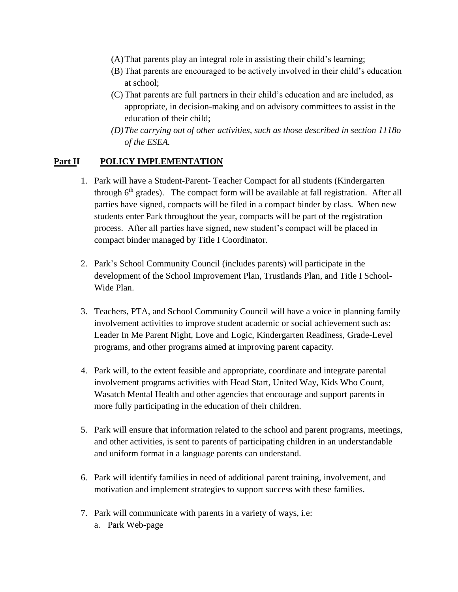- (A)That parents play an integral role in assisting their child's learning;
- (B) That parents are encouraged to be actively involved in their child's education at school;
- (C) That parents are full partners in their child's education and are included, as appropriate, in decision-making and on advisory committees to assist in the education of their child;
- *(D)The carrying out of other activities, such as those described in section 1118o of the ESEA.*

#### **Part II POLICY IMPLEMENTATION**

- 1. Park will have a Student-Parent- Teacher Compact for all students (Kindergarten through  $6<sup>th</sup>$  grades). The compact form will be available at fall registration. After all parties have signed, compacts will be filed in a compact binder by class. When new students enter Park throughout the year, compacts will be part of the registration process. After all parties have signed, new student's compact will be placed in compact binder managed by Title I Coordinator.
- 2. Park's School Community Council (includes parents) will participate in the development of the School Improvement Plan, Trustlands Plan, and Title I School-Wide Plan.
- 3. Teachers, PTA, and School Community Council will have a voice in planning family involvement activities to improve student academic or social achievement such as: Leader In Me Parent Night, Love and Logic, Kindergarten Readiness, Grade-Level programs, and other programs aimed at improving parent capacity.
- 4. Park will, to the extent feasible and appropriate, coordinate and integrate parental involvement programs activities with Head Start, United Way, Kids Who Count, Wasatch Mental Health and other agencies that encourage and support parents in more fully participating in the education of their children.
- 5. Park will ensure that information related to the school and parent programs, meetings, and other activities, is sent to parents of participating children in an understandable and uniform format in a language parents can understand.
- 6. Park will identify families in need of additional parent training, involvement, and motivation and implement strategies to support success with these families.
- 7. Park will communicate with parents in a variety of ways, i.e:
	- a. Park Web-page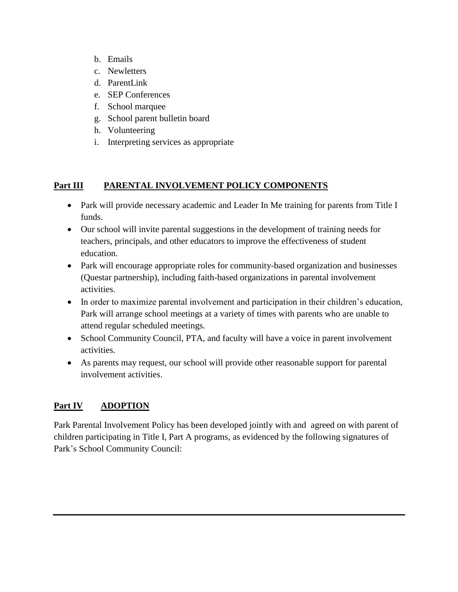- b. Emails
- c. Newletters
- d. ParentLink
- e. SEP Conferences
- f. School marquee
- g. School parent bulletin board
- h. Volunteering
- i. Interpreting services as appropriate

#### **Part III PARENTAL INVOLVEMENT POLICY COMPONENTS**

- Park will provide necessary academic and Leader In Me training for parents from Title I funds.
- Our school will invite parental suggestions in the development of training needs for teachers, principals, and other educators to improve the effectiveness of student education.
- Park will encourage appropriate roles for community-based organization and businesses (Questar partnership), including faith-based organizations in parental involvement activities.
- In order to maximize parental involvement and participation in their children's education, Park will arrange school meetings at a variety of times with parents who are unable to attend regular scheduled meetings.
- School Community Council, PTA, and faculty will have a voice in parent involvement activities.
- As parents may request, our school will provide other reasonable support for parental involvement activities.

## **Part IV ADOPTION**

Park Parental Involvement Policy has been developed jointly with and agreed on with parent of children participating in Title I, Part A programs, as evidenced by the following signatures of Park's School Community Council: